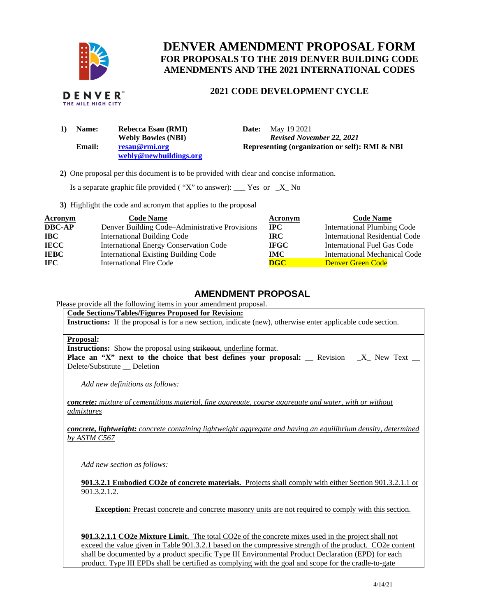

# **DENVER AMENDMENT PROPOSAL FORM FOR PROPOSALS TO THE 2019 DENVER BUILDING CODE AMENDMENTS AND THE 2021 INTERNATIONAL CODES**

# **2021 CODE DEVELOPMENT CYCLE**

| <b>Name:</b>  | Rebecca Esau (RMI)        | May 19 2021<br>Date:                           |
|---------------|---------------------------|------------------------------------------------|
|               | <b>Webly Bowles (NBI)</b> | <b>Revised November 22, 2021</b>               |
| <b>Email:</b> | resau@rmi.org             | Representing (organization or self): RMI & NBI |
|               | webly@newbuildings.org    |                                                |

 **2)** One proposal per this document is to be provided with clear and concise information.

Is a separate graphic file provided ("X" to answer): \_\_\_\_ Yes or  $X$ <sub>\_</sub> No

**3)** Highlight the code and acronym that applies to the proposal

| <b>Acronym</b> | <b>Code Name</b>                               | Acronym                   | <b>Code Name</b>                   |
|----------------|------------------------------------------------|---------------------------|------------------------------------|
| <b>DBC-AP</b>  | Denver Building Code–Administrative Provisions | $\bf IPC$                 | <b>International Plumbing Code</b> |
| <b>IBC</b>     | <b>International Building Code</b>             | IRC.                      | International Residential Code     |
| <b>IECC</b>    | <b>International Energy Conservation Code</b>  | <b>IFGC</b>               | International Fuel Gas Code        |
| <b>IEBC</b>    | <b>International Existing Building Code</b>    | IMC.                      | International Mechanical Code      |
| IFC.           | International Fire Code                        | $\overline{\textbf{DGC}}$ | <b>Denver Green Code</b>           |

# **AMENDMENT PROPOSAL**

Please provide all the following items in your amendment proposal.

#### **Code Sections/Tables/Figures Proposed for Revision:**

**Instructions:** If the proposal is for a new section, indicate (new), otherwise enter applicable code section.

#### **Proposal:**

**Instructions:** Show the proposal using strikeout, underline format.

Place an "X" next to the choice that best defines your proposal: \_ Revision \_X\_ New Text \_ Delete/Substitute Deletion

*Add new definitions as follows:* 

*concrete: mixture of cementitious material, fine aggregate, coarse aggregate and water, with or without admixtures* 

*concrete, lightweight: concrete containing lightweight aggregate and having an equilibrium density, determined by ASTM C567* 

*Add new section as follows:* 

**901.3.2.1 Embodied CO2e of concrete materials.** Projects shall comply with either Section 901.3.2.1.1 or 901.3.2.1.2.

**Exception:** Precast concrete and concrete masonry units are not required to comply with this section.

**901.3.2.1.1 CO2e Mixture Limit.** The total CO2e of the concrete mixes used in the project shall not exceed the value given in Table 901.3.2.1 based on the compressive strength of the product. CO2e content shall be documented by a product specific Type III Environmental Product Declaration (EPD) for each product. Type III EPDs shall be certified as complying with the goal and scope for the cradle-to-gate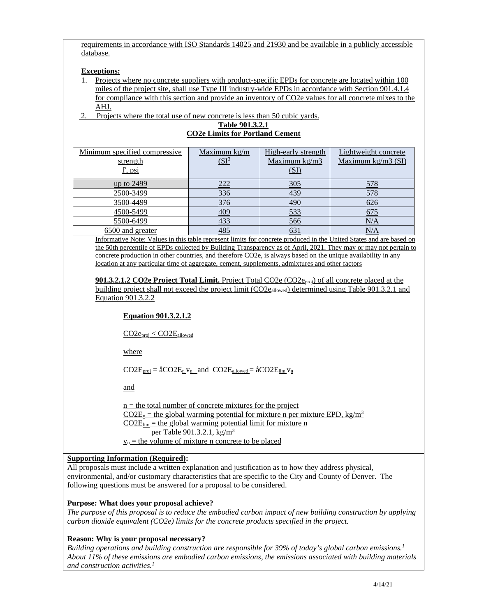requirements in accordance with ISO Standards 14025 and 21930 and be available in a publicly accessible database.

#### **Exceptions:**

1. Projects where no concrete suppliers with product-specific EPDs for concrete are located within 100 miles of the project site, shall use Type III industry-wide EPDs in accordance with Section 901.4.1.4 for compliance with this section and provide an inventory of CO2e values for all concrete mixes to the AHJ.

2. Projects where the total use of new concrete is less than 50 cubic yards.

**Table 901.3.2.1 CO2e Limits for Portland Cement** 

| Minimum specified compressive | Maximum kg/m       | High-early strength | Lightweight concrete |
|-------------------------------|--------------------|---------------------|----------------------|
| strength                      | (SI <sup>3</sup> ) | Maximum kg/m3       | Maximum kg/m3 $(SI)$ |
| f', psi                       |                    | (SI)                |                      |
| up to 2499                    | 222                | 305                 | 578                  |
| 2500-3499                     | 336                | 439                 | 578                  |
| 3500-4499                     | 376                | 490                 | 626                  |
| 4500-5499                     | 409                | 533                 | 675                  |
| 5500-6499                     | 433                | 566                 | N/A                  |
| 6500 and greater              | 485                | 631                 | N/A                  |

Informative Note: Values in this table represent limits for concrete produced in the United States and are based on the 50th percentile of EPDs collected by Building Transparency as of April, 2021. They may or may not pertain to concrete production in other countries, and therefore CO2e, is always based on the unique availability in any location at any particular time of aggregate, cement, supplements, admixtures and other factors

**901.3.2.1.2 CO2e Project Total Limit.** Project Total CO2e (CO2eproj) of all concrete placed at the building project shall not exceed the project limit (CO2eallowed) determined using Table 901.3.2.1 and Equation 901.3.2.2

## **Equation 901.3.2.1.2**

CO2eproj < CO2Eallowed

where

 $CO2E_{proj} = \hat{a}CO2E_n v_n$  and  $CO2E_{allowed} = \hat{a}CO2E_{lim} v_n$ 

and

 $n =$  the total number of concrete mixtures for the project  $CO2E_n$  = the global warming potential for mixture n per mixture EPD, kg/m<sup>3</sup>  $\underline{CO2E_{lim}}$  = the global warming potential limit for mixture n per Table 901.3.2.1, kg/m<sup>3</sup>  $v_n$  = the volume of mixture n concrete to be placed

## **Supporting Information (Required):**

All proposals must include a written explanation and justification as to how they address physical, environmental, and/or customary characteristics that are specific to the City and County of Denver. The following questions must be answered for a proposal to be considered.

## **Purpose: What does your proposal achieve?**

*The purpose of this proposal is to reduce the embodied carbon impact of new building construction by applying carbon dioxide equivalent (CO2e) limits for the concrete products specified in the project.* 

## **Reason: Why is your proposal necessary?**

*Building operations and building construction are responsible for 39% of today's global carbon emissions.<sup>1</sup> About 11% of these emissions are embodied carbon emissions, the emissions associated with building materials and construction activities. 1*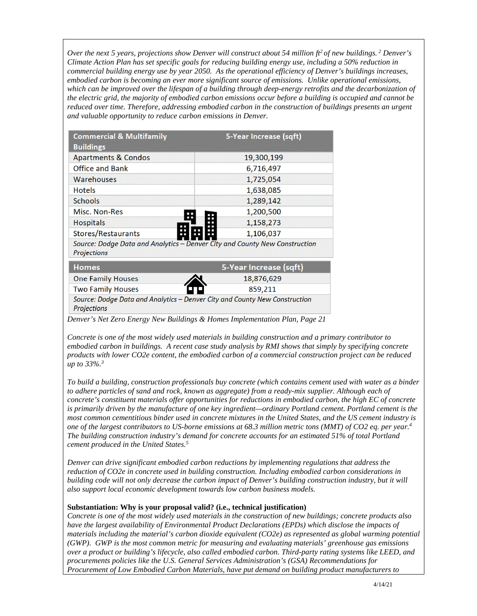*Over the next 5 years, projections show Denver will construct about 54 million ft<sup>2</sup> of new buildings.<sup>2</sup> Denver's Climate Action Plan has set specific goals for reducing building energy use, including a 50% reduction in commercial building energy use by year 2050. As the operational efficiency of Denver's buildings increases, embodied carbon is becoming an ever more significant source of emissions. Unlike operational emissions,*  which can be improved over the lifespan of a building through deep-energy retrofits and the decarbonization of *the electric grid, the majority of embodied carbon emissions occur before a building is occupied and cannot be reduced over time. Therefore, addressing embodied carbon in the construction of buildings presents an urgent and valuable opportunity to reduce carbon emissions in Denver.* 

| <b>Commercial &amp; Multifamily</b><br><b>Buildings</b>                                          | 5-Year Increase (sqft) |
|--------------------------------------------------------------------------------------------------|------------------------|
| <b>Apartments &amp; Condos</b>                                                                   | 19,300,199             |
| <b>Office and Bank</b>                                                                           | 6,716,497              |
| Warehouses                                                                                       | 1,725,054              |
| <b>Hotels</b>                                                                                    | 1,638,085              |
| <b>Schools</b>                                                                                   | 1,289,142              |
| Misc. Non-Res                                                                                    | 1,200,500              |
| <b>Hospitals</b>                                                                                 | 1,158,273              |
| Stores/Restaurants                                                                               | 1,106,037              |
| Source: Dodge Data and Analytics – Denver City and County New Construction<br><b>Projections</b> |                        |
| <b>Homes</b>                                                                                     | 5-Year Increase (sqft) |
| <b>One Family Houses</b>                                                                         | 18,876,629             |
| <b>Two Family Houses</b>                                                                         | 859,211                |
| Source: Dodge Data and Analytics - Denver City and County New Construction<br><b>Projections</b> |                        |

*Denver's Net Zero Energy New Buildings & Homes Implementation Plan, Page 21* 

*Concrete is one of the most widely used materials in building construction and a primary contributor to embodied carbon in buildings. A recent case study analysis by RMI shows that simply by specifying concrete products with lower CO2e content, the embodied carbon of a commercial construction project can be reduced up to 33%.<sup>3</sup>*

*To build a building, construction professionals buy concrete (which contains cement used with water as a binder to adhere particles of sand and rock, known as aggregate) from a ready-mix supplier. Although each of concrete's constituent materials offer opportunities for reductions in embodied carbon, the high EC of concrete is primarily driven by the manufacture of one key ingredient—ordinary Portland cement. Portland cement is the most common cementitious binder used in concrete mixtures in the United States, and the US cement industry is one of the largest contributors to US-borne emissions at 68.3 million metric tons (MMT) of CO2 eq. per year.<sup>4</sup> The building construction industry's demand for concrete accounts for an estimated 51% of total Portland cement produced in the United States.<sup>5</sup>*

*Denver can drive significant embodied carbon reductions by implementing regulations that address the reduction of CO2e in concrete used in building construction. Including embodied carbon considerations in building code will not only decrease the carbon impact of Denver's building construction industry, but it will also support local economic development towards low carbon business models.* 

## **Substantiation: Why is your proposal valid? (i.e., technical justification)**

*Concrete is one of the most widely used materials in the construction of new buildings; concrete products also have the largest availability of Environmental Product Declarations (EPDs) which disclose the impacts of materials including the material's carbon dioxide equivalent (CO2e) as represented as global warming potential (GWP). GWP is the most common metric for measuring and evaluating materials' greenhouse gas emissions over a product or building's lifecycle, also called embodied carbon. Third-party rating systems like LEED, and procurements policies like the U.S. General Services Administration's (GSA) Recommendations for Procurement of Low Embodied Carbon Materials, have put demand on building product manufacturers to*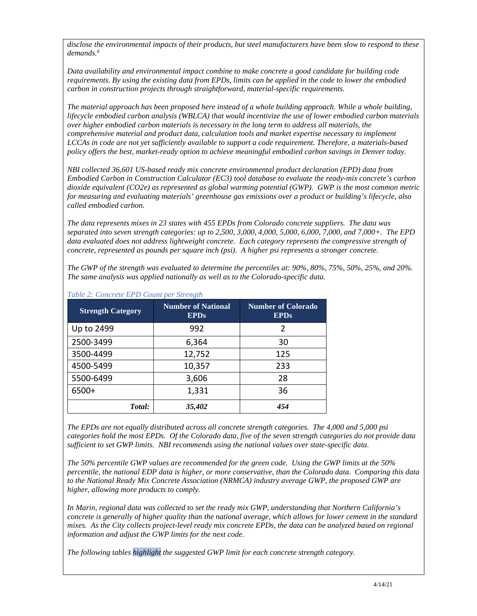*disclose the environmental impacts of their products, but steel manufacturers have been slow to respond to these demands.<sup>6</sup>* 

*Data availability and environmental impact combine to make concrete a good candidate for building code requirements. By using the existing data from EPDs, limits can be applied in the code to lower the embodied carbon in construction projects through straightforward, material-specific requirements.* 

*The material approach has been proposed here instead of a whole building approach. While a whole building, lifecycle embodied carbon analysis (WBLCA) that would incentivize the use of lower embodied carbon materials over higher embodied carbon materials is necessary in the long term to address all materials, the comprehensive material and product data, calculation tools and market expertise necessary to implement LCCAs in code are not yet sufficiently available to support a code requirement. Therefore, a materials-based policy offers the best, market-ready option to achieve meaningful embodied carbon savings in Denver today.* 

*NBI collected 36,601 US-based ready mix concrete environmental product declaration (EPD) data from Embodied Carbon in Construction Calculator (EC3) tool database to evaluate the ready-mix concrete's carbon dioxide equivalent (CO2e) as represented as global warming potential (GWP). GWP is the most common metric for measuring and evaluating materials' greenhouse gas emissions over a product or building's lifecycle, also called embodied carbon.* 

*The data represents mixes in 23 states with 455 EPDs from Colorado concrete suppliers. The data was separated into seven strength categories: up to 2,500, 3,000, 4,000, 5,000, 6,000, 7,000, and 7,000+. The EPD data evaluated does not address lightweight concrete. Each category represents the compressive strength of concrete, represented as pounds per square inch (psi). A higher psi represents a stronger concrete.* 

*The GWP of the strength was evaluated to determine the percentiles at: 90%, 80%, 75%, 50%, 25%, and 20%. The same analysis was applied nationally as well as to the Colorado-specific data.* 

| <b>Strength Category</b> | <b>Number of National</b><br><b>EPDs</b> | <b>Number of Colorado</b><br><b>EPDs</b> |
|--------------------------|------------------------------------------|------------------------------------------|
| Up to 2499               | 992                                      | $\overline{2}$                           |
| 2500-3499                | 6,364                                    | 30                                       |
| 3500-4499                | 12,752                                   | 125                                      |
| 4500-5499                | 10,357                                   | 233                                      |
| 5500-6499                | 3,606                                    | 28                                       |
| 6500+                    | 1,331                                    | 36                                       |
| Total:                   | 35,402                                   | 454                                      |

*Table 2: Concrete EPD Count per Strength* 

*The EPDs are not equally distributed across all concrete strength categories. The 4,000 and 5,000 psi categories hold the most EPDs. Of the Colorado data, five of the seven strength categories do not provide data sufficient to set GWP limits. NBI recommends using the national values over state-specific data.* 

*The 50% percentile GWP values are recommended for the green code. Using the GWP limits at the 50% percentile, the national EDP data is higher, or more conservative, than the Colorado data. Comparing this data to the National Ready Mix Concrete Association (NRMCA) industry average GWP, the proposed GWP are higher, allowing more products to comply.* 

*In Marin, regional data was collected to set the ready mix GWP, understanding that Northern California's concrete is generally of higher quality than the national average, which allows for lower cement in the standard mixes. As the City collects project-level ready mix concrete EPDs, the data can be analyzed based on regional information and adjust the GWP limits for the next code.* 

*The following tables highlight the suggested GWP limit for each concrete strength category.*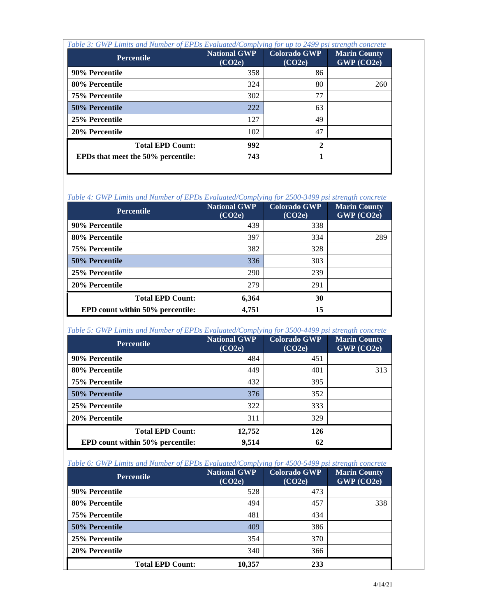| Table 3: GWP Limits and Number of EPDs Evaluated/Complying for up to 2499 psi strength concrete |                               |                               |                                     |  |
|-------------------------------------------------------------------------------------------------|-------------------------------|-------------------------------|-------------------------------------|--|
| <b>Percentile</b>                                                                               | <b>National GWP</b><br>(CO2e) | <b>Colorado GWP</b><br>(CO2e) | <b>Marin County</b><br>$GWP$ (CO2e) |  |
| 90% Percentile                                                                                  | 358                           | 86                            |                                     |  |
| 80% Percentile                                                                                  | 324                           | 80                            | 260                                 |  |
| 75% Percentile                                                                                  | 302                           | 77                            |                                     |  |
| 50% Percentile                                                                                  | 222                           | 63                            |                                     |  |
| 25% Percentile                                                                                  | 127                           | 49                            |                                     |  |
| 20% Percentile                                                                                  | 102                           | 47                            |                                     |  |
| <b>Total EPD Count:</b>                                                                         | 992                           | 2                             |                                     |  |
| <b>EPDs that meet the 50% percentile:</b>                                                       | 743                           |                               |                                     |  |

*Table 4: GWP Limits and Number of EPDs Evaluated/Complying for 2500-3499 psi strength concrete* 

| <b>Percentile</b>                | <b>National GWP</b><br>(CO2e) | <b>Colorado GWP</b><br>(CO2e) | <b>Marin County</b><br>GWP (CO2e) |
|----------------------------------|-------------------------------|-------------------------------|-----------------------------------|
| 90% Percentile                   | 439                           | 338                           |                                   |
| 80% Percentile                   | 397                           | 334                           | 289                               |
| 75% Percentile                   | 382                           | 328                           |                                   |
| 50% Percentile                   | 336                           | 303                           |                                   |
| 25% Percentile                   | 290                           | 239                           |                                   |
| 20% Percentile                   | 279                           | 291                           |                                   |
| <b>Total EPD Count:</b>          | 6,364                         | 30                            |                                   |
| EPD count within 50% percentile: | 4,751                         | 15                            |                                   |

*Table 5: GWP Limits and Number of EPDs Evaluated/Complying for 3500-4499 psi strength concrete* 

| <b>Percentile</b>                       | <b>National GWP</b><br>(CO2e) | <b>Colorado GWP</b><br>(CO2e) | <b>Marin County</b><br>GWP (CO2e) |
|-----------------------------------------|-------------------------------|-------------------------------|-----------------------------------|
| 90% Percentile                          | 484                           | 451                           |                                   |
| 80% Percentile                          | 449                           | 401                           | 313                               |
| 75% Percentile                          | 432                           | 395                           |                                   |
| 50% Percentile                          | 376                           | 352                           |                                   |
| 25% Percentile                          | 322                           | 333                           |                                   |
| 20% Percentile                          | 311                           | 329                           |                                   |
| <b>Total EPD Count:</b>                 | 12,752                        | 126                           |                                   |
| <b>EPD</b> count within 50% percentile: | 9,514                         | 62                            |                                   |

| <b>Percentile</b>       | <b>National GWP</b><br>(CO2e) | <b>Colorado GWP</b><br>(CO2e) | <b>Marin County</b><br>GWP (CO2e) |
|-------------------------|-------------------------------|-------------------------------|-----------------------------------|
| 90% Percentile          | 528                           | 473                           |                                   |
| 80% Percentile          | 494                           | 457                           | 338                               |
| 75% Percentile          | 481                           | 434                           |                                   |
| 50% Percentile          | 409                           | 386                           |                                   |
| 25% Percentile          | 354                           | 370                           |                                   |
| 20% Percentile          | 340                           | 366                           |                                   |
| <b>Total EPD Count:</b> | 10,357                        | 233                           |                                   |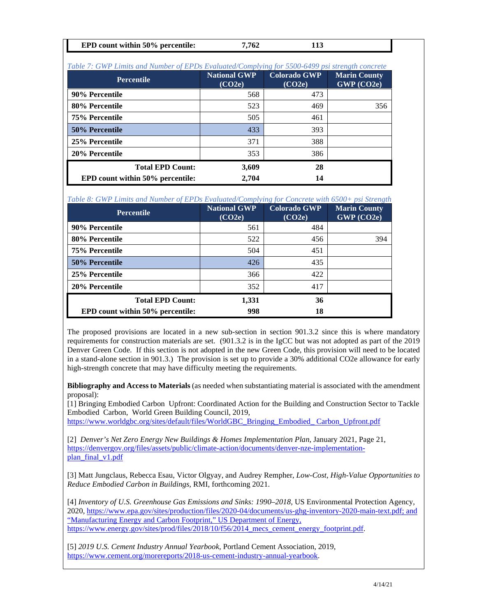| <b>EPD</b> count within 50% percentile:<br>.762 |
|-------------------------------------------------|
|-------------------------------------------------|

| Table 7: GWP Limits and Number of EPDs Evaluated/Complying for 5500-6499 psi strength concrete |                               |                               |                                   |  |
|------------------------------------------------------------------------------------------------|-------------------------------|-------------------------------|-----------------------------------|--|
| <b>Percentile</b>                                                                              | <b>National GWP</b><br>(CO2e) | <b>Colorado GWP</b><br>(CO2e) | <b>Marin County</b><br>GWP (CO2e) |  |
| 90% Percentile                                                                                 | 568                           | 473                           |                                   |  |
| 80% Percentile                                                                                 | 523                           | 469                           | 356                               |  |
| 75% Percentile                                                                                 | 505                           | 461                           |                                   |  |
| 50% Percentile                                                                                 | 433                           | 393                           |                                   |  |
| 25% Percentile                                                                                 | 371                           | 388                           |                                   |  |
| 20% Percentile                                                                                 | 353                           | 386                           |                                   |  |
| <b>Total EPD Count:</b>                                                                        | 3,609                         | 28                            |                                   |  |
| EPD count within 50% percentile:                                                               | 2,704                         | 14                            |                                   |  |

*Table 8: GWP Limits and Number of EPDs Evaluated/Complying for Concrete with 6500+ psi Strength* 

| <b>Percentile</b>                       | <b>National GWP</b><br>(CO2e) | <b>Colorado GWP</b><br>(CO2e) | <b>Marin County</b><br>GWP (CO2e) |
|-----------------------------------------|-------------------------------|-------------------------------|-----------------------------------|
| 90% Percentile                          | 561                           | 484                           |                                   |
| 80% Percentile                          | 522                           | 456                           | 394                               |
| 75% Percentile                          | 504                           | 451                           |                                   |
| 50% Percentile                          | 426                           | 435                           |                                   |
| 25% Percentile                          | 366                           | 422                           |                                   |
| 20% Percentile                          | 352                           | 417                           |                                   |
| <b>Total EPD Count:</b>                 | 1,331                         | 36                            |                                   |
| <b>EPD</b> count within 50% percentile: | 998                           | 18                            |                                   |

The proposed provisions are located in a new sub-section in section 901.3.2 since this is where mandatory requirements for construction materials are set. (901.3.2 is in the IgCC but was not adopted as part of the 2019 Denver Green Code. If this section is not adopted in the new Green Code, this provision will need to be located in a stand-alone section in 901.3.) The provision is set up to provide a 30% additional CO2e allowance for early high-strength concrete that may have difficulty meeting the requirements.

**Bibliography and Access to Materials** (as needed when substantiating material is associated with the amendment proposal):

[1] Bringing Embodied Carbon Upfront: Coordinated Action for the Building and Construction Sector to Tackle Embodied Carbon, World Green Building Council, 2019,

[https://www.worldgbc.org/sites/default/files/WorldGBC\\_Bringing\\_Embodied\\_ Carbon\\_Upfront.pdf](https://www.worldgbc.org/sites/default/files/WorldGBC_Bringing_Embodied_%20Carbon_Upfront.pdf)

[2] *Denver's Net Zero Energy New Buildings & Homes Implementation Plan, January 2021, Page 21,* [https://denvergov.org/files/assets/public/climate-action/documents/denver-nze-implementation](https://denvergov.org/files/assets/public/climate-action/documents/denver-nze-implementation-plan_final_v1.pdf)[plan\\_final\\_v1.pdf](https://denvergov.org/files/assets/public/climate-action/documents/denver-nze-implementation-plan_final_v1.pdf)

[3] Matt Jungclaus, Rebecca Esau, Victor Olgyay, and Audrey Rempher, *Low-Cost, High-Value Opportunities to Reduce Embodied Carbon in Buildings,* RMI, forthcoming 2021.

[4] *Inventory of U.S. Greenhouse Gas Emissions and Sinks: 1990–2018*, US Environmental Protection Agency, 2020[, https://www.epa.gov/sites/production/files/2020-04/documents/us-ghg-inventory-2020-main-text.pdf;](https://www.epa.gov/sites/production/files/2020-04/documents/us-ghg-inventory-2020-main-text.pdf) and "Manufacturing Energy and Carbon Footprint," US Department of Energy, [https://www.energy.gov/sites/prod/files/2018/10/f56/2014\\_mecs\\_cement\\_energy\\_footprint.pdf.](https://www.energy.gov/sites/prod/files/2018/10/f56/2014_mecs_cement_energy_footprint.pdf)

[5] *2019 U.S. Cement Industry Annual Yearbook,* Portland Cement Association, 2019, [https://www.cement.org/morereports/2018-us-cement-industry-annual-yearbook.](https://www.cement.org/morereports/2018-us-cement-industry-annual-yearbook)